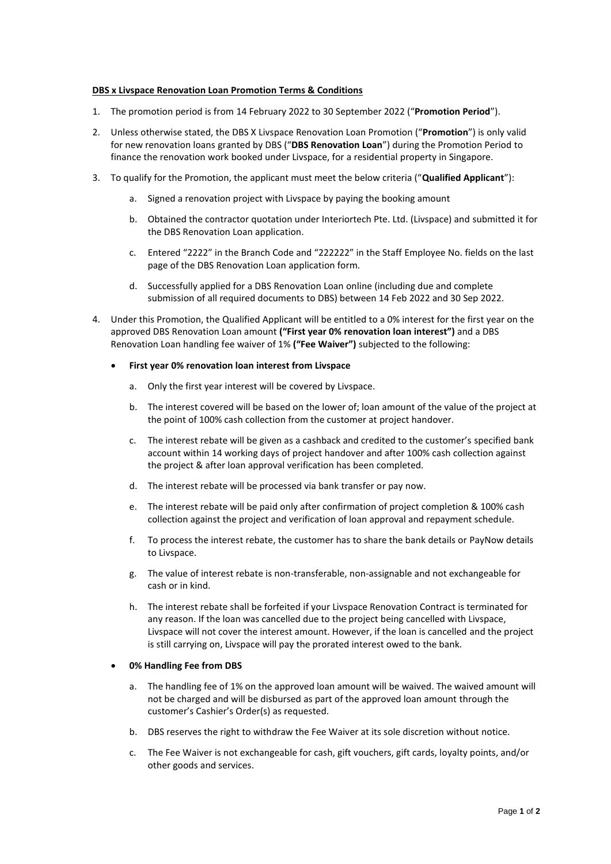## **DBS x Livspace Renovation Loan Promotion Terms & Conditions**

- 1. The promotion period is from 14 February 2022 to 30 September 2022 ("**Promotion Period**").
- 2. Unless otherwise stated, the DBS X Livspace Renovation Loan Promotion ("**Promotion**") is only valid for new renovation loans granted by DBS ("**DBS Renovation Loan**") during the Promotion Period to finance the renovation work booked under Livspace, for a residential property in Singapore.
- 3. To qualify for the Promotion, the applicant must meet the below criteria ("**Qualified Applicant**"):
	- a. Signed a renovation project with Livspace by paying the booking amount
	- b. Obtained the contractor quotation under Interiortech Pte. Ltd. (Livspace) and submitted it for the DBS Renovation Loan application.
	- c. Entered "2222" in the Branch Code and "222222" in the Staff Employee No. fields on the last page of the DBS Renovation Loan application form.
	- d. Successfully applied for a DBS Renovation Loan online (including due and complete submission of all required documents to DBS) between 14 Feb 2022 and 30 Sep 2022.
- 4. Under this Promotion, the Qualified Applicant will be entitled to a 0% interest for the first year on the approved DBS Renovation Loan amount **("First year 0% renovation loan interest")** and a DBS Renovation Loan handling fee waiver of 1% **("Fee Waiver")** subjected to the following:
	- **First year 0% renovation loan interest from Livspace** 
		- a. Only the first year interest will be covered by Livspace.
		- b. The interest covered will be based on the lower of; loan amount of the value of the project at the point of 100% cash collection from the customer at project handover.
		- c. The interest rebate will be given as a cashback and credited to the customer's specified bank account within 14 working days of project handover and after 100% cash collection against the project & after loan approval verification has been completed.
		- d. The interest rebate will be processed via bank transfer or pay now.
		- e. The interest rebate will be paid only after confirmation of project completion & 100% cash collection against the project and verification of loan approval and repayment schedule.
		- f. To process the interest rebate, the customer has to share the bank details or PayNow details to Livspace.
		- g. The value of interest rebate is non-transferable, non-assignable and not exchangeable for cash or in kind.
		- h. The interest rebate shall be forfeited if your Livspace Renovation Contract is terminated for any reason. If the loan was cancelled due to the project being cancelled with Livspace, Livspace will not cover the interest amount. However, if the loan is cancelled and the project is still carrying on, Livspace will pay the prorated interest owed to the bank.

## • **0% Handling Fee from DBS**

- a. The handling fee of 1% on the approved loan amount will be waived. The waived amount will not be charged and will be disbursed as part of the approved loan amount through the customer's Cashier's Order(s) as requested.
- b. DBS reserves the right to withdraw the Fee Waiver at its sole discretion without notice.
- c. The Fee Waiver is not exchangeable for cash, gift vouchers, gift cards, loyalty points, and/or other goods and services.